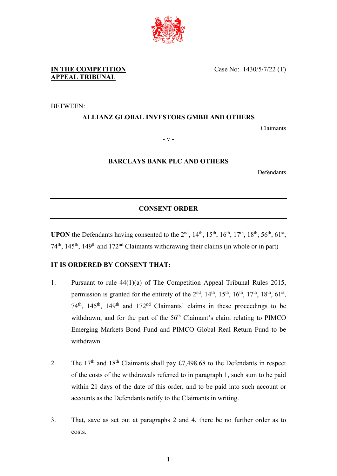

**IN THE COMPETITION APPEAL TRIBUNAL**

BETWEEN:

## **ALLIANZ GLOBAL INVESTORS GMBH AND OTHERS**

Claimants

- v -

## **BARCLAYS BANK PLC AND OTHERS**

**Defendants** 

## **CONSENT ORDER**

**UPON** the Defendants having consented to the  $2<sup>nd</sup>$ ,  $14<sup>th</sup>$ ,  $15<sup>th</sup>$ ,  $16<sup>th</sup>$ ,  $17<sup>th</sup>$ ,  $18<sup>th</sup>$ ,  $56<sup>th</sup>$ ,  $61<sup>st</sup>$ ,  $74<sup>th</sup>$ ,  $145<sup>th</sup>$ ,  $149<sup>th</sup>$  and  $172<sup>nd</sup>$  Claimants withdrawing their claims (in whole or in part)

## **IT IS ORDERED BY CONSENT THAT:**

- 1. Pursuant to rule 44(1)(a) of The Competition Appeal Tribunal Rules 2015, permission is granted for the entirety of the  $2<sup>nd</sup>$ ,  $14<sup>th</sup>$ ,  $15<sup>th</sup>$ ,  $16<sup>th</sup>$ ,  $17<sup>th</sup>$ ,  $18<sup>th</sup>$ ,  $61<sup>st</sup>$ ,  $74<sup>th</sup>$ ,  $145<sup>th</sup>$ ,  $149<sup>th</sup>$  and  $172<sup>nd</sup>$  Claimants' claims in these proceedings to be withdrawn, and for the part of the  $56<sup>th</sup>$  Claimant's claim relating to PIMCO Emerging Markets Bond Fund and PIMCO Global Real Return Fund to be withdrawn.
- 2. The 17<sup>th</sup> and 18<sup>th</sup> Claimants shall pay £7,498.68 to the Defendants in respect of the costs of the withdrawals referred to in paragraph 1, such sum to be paid within 21 days of the date of this order, and to be paid into such account or accounts as the Defendants notify to the Claimants in writing.
- 3. That, save as set out at paragraphs 2 and 4, there be no further order as to costs.